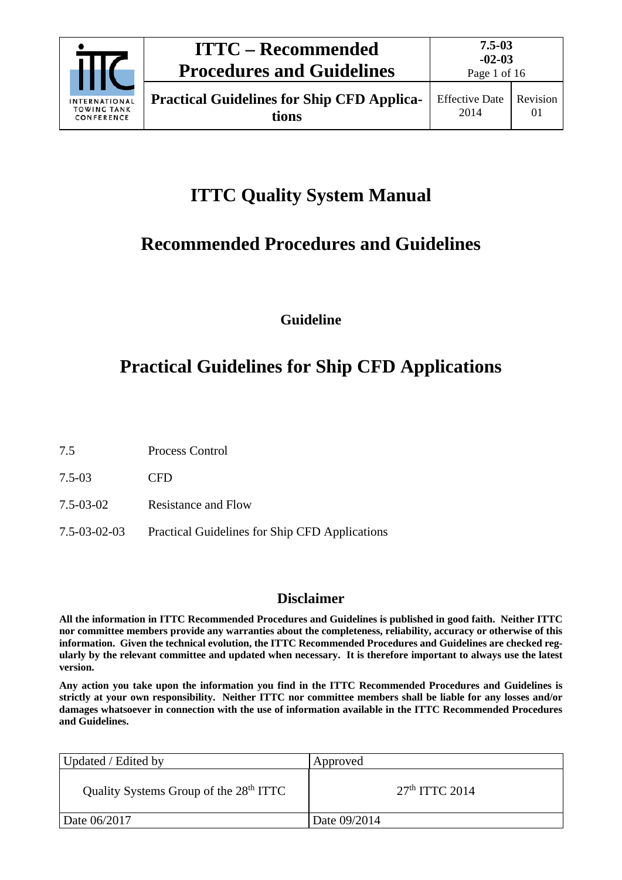

Page 1 of 16

# **ITTC Quality System Manual**

# **Recommended Procedures and Guidelines**

**Guideline**

# **Practical Guidelines for Ship CFD Applications**

7.5 Process Control

7.5-03 CFD

- 7.5-03-02 Resistance and Flow
- 7.5-03-02-03 Practical Guidelines for Ship CFD Applications

# **Disclaimer**

**All the information in ITTC Recommended Procedures and Guidelines is published in good faith. Neither ITTC nor committee members provide any warranties about the completeness, reliability, accuracy or otherwise of this information. Given the technical evolution, the ITTC Recommended Procedures and Guidelines are checked regularly by the relevant committee and updated when necessary. It is therefore important to always use the latest version.**

**Any action you take upon the information you find in the ITTC Recommended Procedures and Guidelines is strictly at your own responsibility. Neither ITTC nor committee members shall be liable for any losses and/or damages whatsoever in connection with the use of information available in the ITTC Recommended Procedures and Guidelines.**

| Updated / Edited by                                | Approved         |
|----------------------------------------------------|------------------|
| Quality Systems Group of the 28 <sup>th</sup> ITTC | $27th$ ITTC 2014 |
| Date 06/2017                                       | Date 09/2014     |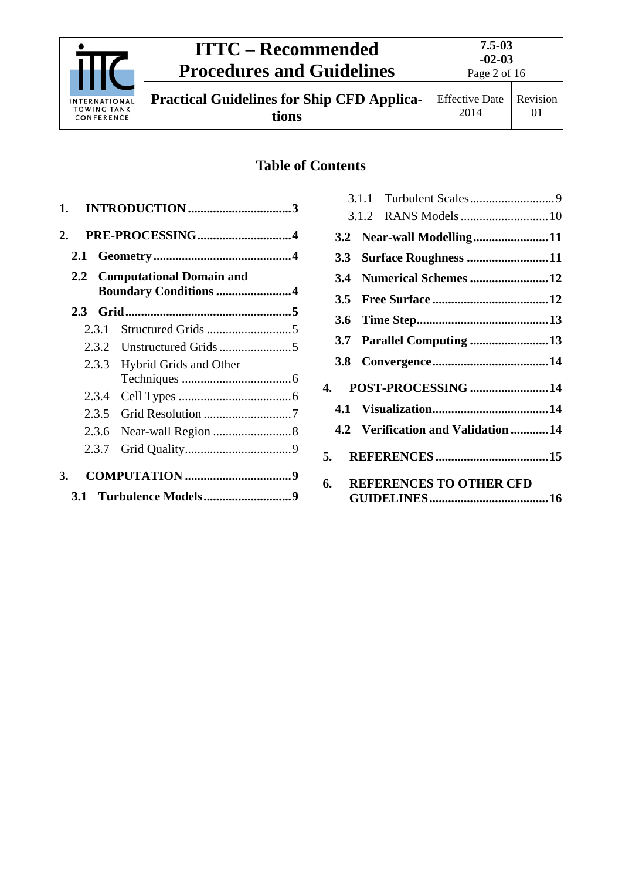

Page 2 of 16

01

**Practical Guidelines for Ship CFD Applications**

# **Table of Contents**

| 1. |     |       |                                                              |  |
|----|-----|-------|--------------------------------------------------------------|--|
| 2. |     |       |                                                              |  |
|    | 2.1 |       |                                                              |  |
|    |     |       | 2.2 Computational Domain and<br><b>Boundary Conditions 4</b> |  |
|    |     |       |                                                              |  |
|    |     | 2.3.1 |                                                              |  |
|    |     | 2.3.2 |                                                              |  |
|    |     | 2.3.3 | <b>Hybrid Grids and Other</b>                                |  |
|    |     | 2.3.4 |                                                              |  |
|    |     | 2.3.5 |                                                              |  |
|    |     | 2.3.6 |                                                              |  |
|    |     | 2.3.7 |                                                              |  |
| 3. |     |       |                                                              |  |
|    | 3.1 |       |                                                              |  |

|     | 3.2 Near-wall Modelling11          |  |
|-----|------------------------------------|--|
| 3.3 | Surface Roughness 11               |  |
| 3.4 | Numerical Schemes 12               |  |
| 3.5 |                                    |  |
|     |                                    |  |
| 3.7 | Parallel Computing 13              |  |
|     |                                    |  |
|     | 4. POST-PROCESSING 14              |  |
|     |                                    |  |
|     | 4.2 Verification and Validation 14 |  |
|     |                                    |  |
| 6.  | <b>REFERENCES TO OTHER CFD</b>     |  |
|     |                                    |  |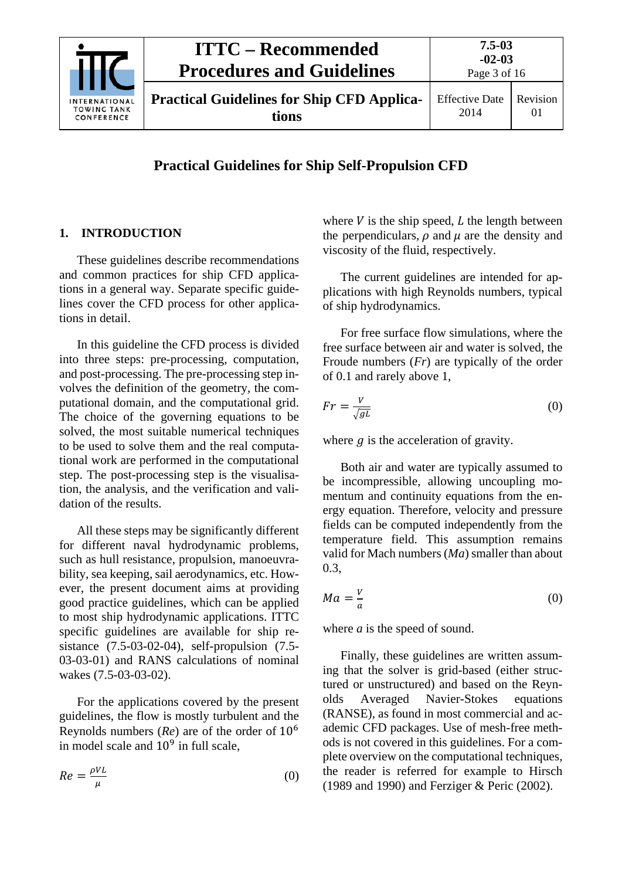

# **Practical Guidelines for Ship Self-Propulsion CFD**

### <span id="page-2-0"></span>**1. INTRODUCTION**

These guidelines describe recommendations and common practices for ship CFD applications in a general way. Separate specific guidelines cover the CFD process for other applications in detail.

In this guideline the CFD process is divided into three steps: pre-processing, computation, and post-processing. The pre-processing step involves the definition of the geometry, the computational domain, and the computational grid. The choice of the governing equations to be solved, the most suitable numerical techniques to be used to solve them and the real computational work are performed in the computational step. The post-processing step is the visualisation, the analysis, and the verification and validation of the results.

All these steps may be significantly different for different naval hydrodynamic problems, such as hull resistance, propulsion, manoeuvrability, sea keeping, sail aerodynamics, etc. However, the present document aims at providing good practice guidelines, which can be applied to most ship hydrodynamic applications. ITTC specific guidelines are available for ship resistance (7.5-03-02-04), self-propulsion (7.5- 03-03-01) and RANS calculations of nominal wakes (7.5-03-03-02).

For the applications covered by the present guidelines, the flow is mostly turbulent and the Reynolds numbers (*Re*) are of the order of 10<sup>6</sup> in model scale and  $10<sup>9</sup>$  in full scale,

$$
Re = \frac{\rho V L}{\mu} \tag{0}
$$

where  $V$  is the ship speed,  $L$  the length between the perpendiculars,  $\rho$  and  $\mu$  are the density and viscosity of the fluid, respectively.

The current guidelines are intended for applications with high Reynolds numbers, typical of ship hydrodynamics.

For free surface flow simulations, where the free surface between air and water is solved, the Froude numbers (*Fr*) are typically of the order of 0.1 and rarely above 1,

$$
Fr = \frac{V}{\sqrt{gL}}\tag{0}
$$

where  $q$  is the acceleration of gravity.

Both air and water are typically assumed to be incompressible, allowing uncoupling momentum and continuity equations from the energy equation. Therefore, velocity and pressure fields can be computed independently from the temperature field. This assumption remains valid for Mach numbers (*Ma*) smaller than about 0.3,

$$
Ma = \frac{v}{a} \tag{0}
$$

where *a* is the speed of sound.

Finally, these guidelines are written assuming that the solver is grid-based (either structured or unstructured) and based on the Reynolds Averaged Navier-Stokes equations (RANSE), as found in most commercial and academic CFD packages. Use of mesh-free methods is not covered in this guidelines. For a complete overview on the computational techniques, the reader is referred for example to Hirsch (1989 and 1990) and Ferziger & Peric (2002).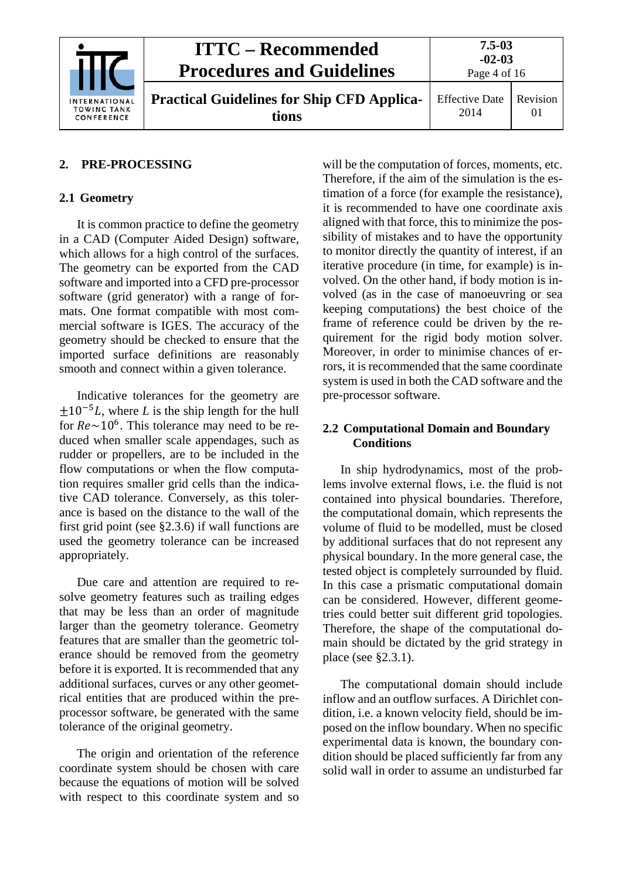

|    | <b>ITTC – Recommended</b><br><b>Procedures and Guidelines</b> | $7.5 - 03$<br>$-02-03$<br>Page 4 of 16 |          |
|----|---------------------------------------------------------------|----------------------------------------|----------|
| AL | <b>Practical Guidelines for Ship CFD Applica-</b>             | <b>Effective Date</b>                  | Revision |
| ĸ  | tions                                                         | 2014                                   |          |

# <span id="page-3-1"></span><span id="page-3-0"></span>**2. PRE-PROCESSING**

# **2.1 Geometry**

It is common practice to define the geometry in a CAD (Computer Aided Design) software, which allows for a high control of the surfaces. The geometry can be exported from the CAD software and imported into a CFD pre-processor software (grid generator) with a range of formats. One format compatible with most commercial software is IGES. The accuracy of the geometry should be checked to ensure that the imported surface definitions are reasonably smooth and connect within a given tolerance.

Indicative tolerances for the geometry are  $\pm 10^{-5}L$ , where *L* is the ship length for the hull for  $Re \sim 10^6$ . This tolerance may need to be reduced when smaller scale appendages, such as rudder or propellers, are to be included in the flow computations or when the flow computation requires smaller grid cells than the indicative CAD tolerance. Conversely, as this tolerance is based on the distance to the wall of the first grid point (see §2.3.6) if wall functions are used the geometry tolerance can be increased appropriately.

Due care and attention are required to resolve geometry features such as trailing edges that may be less than an order of magnitude larger than the geometry tolerance. Geometry features that are smaller than the geometric tolerance should be removed from the geometry before it is exported. It is recommended that any additional surfaces, curves or any other geometrical entities that are produced within the preprocessor software, be generated with the same tolerance of the original geometry.

The origin and orientation of the reference coordinate system should be chosen with care because the equations of motion will be solved with respect to this coordinate system and so

will be the computation of forces, moments, etc. Therefore, if the aim of the simulation is the estimation of a force (for example the resistance), it is recommended to have one coordinate axis aligned with that force, this to minimize the possibility of mistakes and to have the opportunity to monitor directly the quantity of interest, if an iterative procedure (in time, for example) is involved. On the other hand, if body motion is involved (as in the case of manoeuvring or sea keeping computations) the best choice of the frame of reference could be driven by the requirement for the rigid body motion solver. Moreover, in order to minimise chances of errors, it is recommended that the same coordinate system is used in both the CAD software and the pre-processor software.

# <span id="page-3-2"></span>**2.2 Computational Domain and Boundary Conditions**

In ship hydrodynamics, most of the problems involve external flows, i.e. the fluid is not contained into physical boundaries. Therefore, the computational domain, which represents the volume of fluid to be modelled, must be closed by additional surfaces that do not represent any physical boundary. In the more general case, the tested object is completely surrounded by fluid. In this case a prismatic computational domain can be considered. However, different geometries could better suit different grid topologies. Therefore, the shape of the computational domain should be dictated by the grid strategy in place (see §2.3.1).

The computational domain should include inflow and an outflow surfaces. A Dirichlet condition, i.e. a known velocity field, should be imposed on the inflow boundary. When no specific experimental data is known, the boundary condition should be placed sufficiently far from any solid wall in order to assume an undisturbed far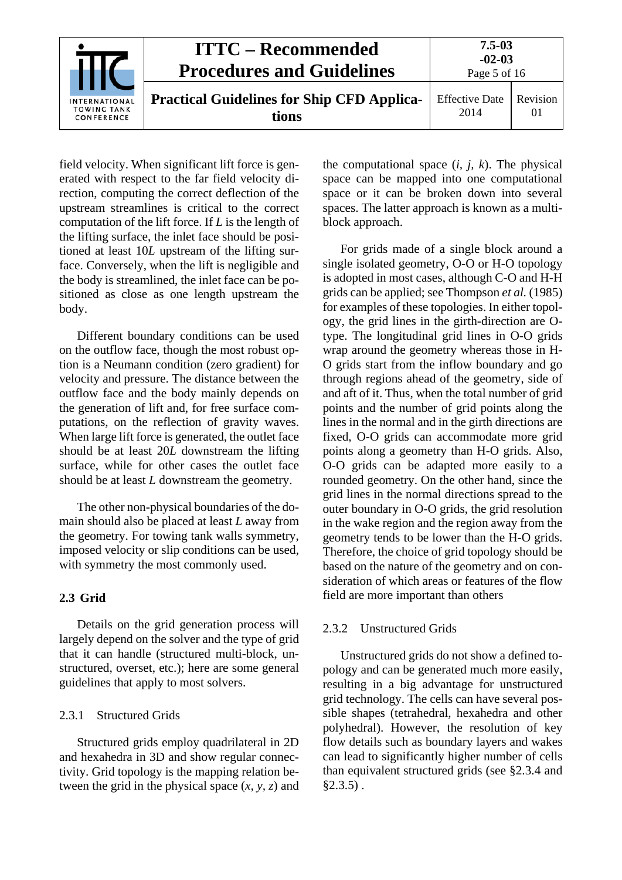|                                                   | <b>ITTC – Recommended</b><br><b>Procedures and Guidelines</b> | $7.5 - 03$<br>$-02-03$<br>Page 5 of 16 |                |
|---------------------------------------------------|---------------------------------------------------------------|----------------------------------------|----------------|
| INTERNATIONAL<br><b>TOWING TANK</b><br>CONFERENCE | <b>Practical Guidelines for Ship CFD Applica-</b><br>tions    | <b>Effective Date</b><br>2014          | Revision<br>01 |

field velocity. When significant lift force is generated with respect to the far field velocity direction, computing the correct deflection of the upstream streamlines is critical to the correct computation of the lift force. If *L* is the length of the lifting surface, the inlet face should be positioned at least 10*L* upstream of the lifting surface. Conversely, when the lift is negligible and the body is streamlined, the inlet face can be positioned as close as one length upstream the body.

Different boundary conditions can be used on the outflow face, though the most robust option is a Neumann condition (zero gradient) for velocity and pressure. The distance between the outflow face and the body mainly depends on the generation of lift and, for free surface computations, on the reflection of gravity waves. When large lift force is generated, the outlet face should be at least 20*L* downstream the lifting surface, while for other cases the outlet face should be at least *L* downstream the geometry.

The other non-physical boundaries of the domain should also be placed at least *L* away from the geometry. For towing tank walls symmetry, imposed velocity or slip conditions can be used, with symmetry the most commonly used.

# <span id="page-4-0"></span>**2.3 Grid**

Details on the grid generation process will largely depend on the solver and the type of grid that it can handle (structured multi-block, unstructured, overset, etc.); here are some general guidelines that apply to most solvers.

# <span id="page-4-1"></span>2.3.1 Structured Grids

Structured grids employ quadrilateral in 2D and hexahedra in 3D and show regular connectivity. Grid topology is the mapping relation between the grid in the physical space  $(x, y, z)$  and the computational space  $(i, j, k)$ . The physical space can be mapped into one computational space or it can be broken down into several spaces. The latter approach is known as a multiblock approach.

For grids made of a single block around a single isolated geometry, O-O or H-O topology is adopted in most cases, although C-O and H-H grids can be applied; see Thompson *et al.* (1985) for examples of these topologies. In either topology, the grid lines in the girth-direction are Otype. The longitudinal grid lines in O-O grids wrap around the geometry whereas those in H-O grids start from the inflow boundary and go through regions ahead of the geometry, side of and aft of it. Thus, when the total number of grid points and the number of grid points along the lines in the normal and in the girth directions are fixed, O-O grids can accommodate more grid points along a geometry than H-O grids. Also, O-O grids can be adapted more easily to a rounded geometry. On the other hand, since the grid lines in the normal directions spread to the outer boundary in O-O grids, the grid resolution in the wake region and the region away from the geometry tends to be lower than the H-O grids. Therefore, the choice of grid topology should be based on the nature of the geometry and on consideration of which areas or features of the flow field are more important than others

# <span id="page-4-2"></span>2.3.2 Unstructured Grids

Unstructured grids do not show a defined topology and can be generated much more easily, resulting in a big advantage for unstructured grid technology. The cells can have several possible shapes (tetrahedral, hexahedra and other polyhedral). However, the resolution of key flow details such as boundary layers and wakes can lead to significantly higher number of cells than equivalent structured grids (see §2.3.4 and  $$2.3.5$ ).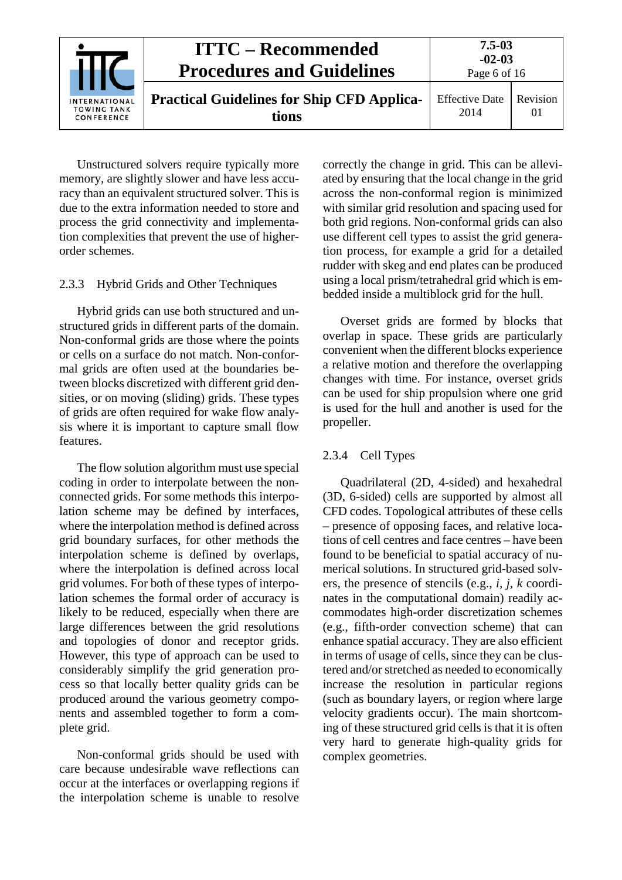|                                                   | <b>ITTC</b> – Recommended<br><b>Procedures and Guidelines</b> | $7.5 - 03$<br>$-02-03$<br>Page 6 of 16 |                      |
|---------------------------------------------------|---------------------------------------------------------------|----------------------------------------|----------------------|
| INTERNATIONAL<br><b>TOWING TANK</b><br>CONFERENCE | <b>Practical Guidelines for Ship CFD Applica-</b><br>tions    | <b>Effective Date</b><br>2014          | Revision<br>$\Omega$ |

Unstructured solvers require typically more memory, are slightly slower and have less accuracy than an equivalent structured solver. This is due to the extra information needed to store and process the grid connectivity and implementation complexities that prevent the use of higherorder schemes.

# <span id="page-5-0"></span>2.3.3 Hybrid Grids and Other Techniques

Hybrid grids can use both structured and unstructured grids in different parts of the domain. Non-conformal grids are those where the points or cells on a surface do not match. Non-conformal grids are often used at the boundaries between blocks discretized with different grid densities, or on moving (sliding) grids. These types of grids are often required for wake flow analysis where it is important to capture small flow features.

The flow solution algorithm must use special coding in order to interpolate between the nonconnected grids. For some methods this interpolation scheme may be defined by interfaces, where the interpolation method is defined across grid boundary surfaces, for other methods the interpolation scheme is defined by overlaps, where the interpolation is defined across local grid volumes. For both of these types of interpolation schemes the formal order of accuracy is likely to be reduced, especially when there are large differences between the grid resolutions and topologies of donor and receptor grids. However, this type of approach can be used to considerably simplify the grid generation process so that locally better quality grids can be produced around the various geometry components and assembled together to form a complete grid.

Non-conformal grids should be used with care because undesirable wave reflections can occur at the interfaces or overlapping regions if the interpolation scheme is unable to resolve correctly the change in grid. This can be alleviated by ensuring that the local change in the grid across the non-conformal region is minimized with similar grid resolution and spacing used for both grid regions. Non-conformal grids can also use different cell types to assist the grid generation process, for example a grid for a detailed rudder with skeg and end plates can be produced using a local prism/tetrahedral grid which is embedded inside a multiblock grid for the hull.

Overset grids are formed by blocks that overlap in space. These grids are particularly convenient when the different blocks experience a relative motion and therefore the overlapping changes with time. For instance, overset grids can be used for ship propulsion where one grid is used for the hull and another is used for the propeller.

#### <span id="page-5-1"></span>2.3.4 Cell Types

Quadrilateral (2D, 4-sided) and hexahedral (3D, 6-sided) cells are supported by almost all CFD codes. Topological attributes of these cells – presence of opposing faces, and relative locations of cell centres and face centres – have been found to be beneficial to spatial accuracy of numerical solutions. In structured grid-based solvers, the presence of stencils (e.g., *i, j, k* coordinates in the computational domain) readily accommodates high-order discretization schemes (e.g., fifth-order convection scheme) that can enhance spatial accuracy. They are also efficient in terms of usage of cells, since they can be clustered and/or stretched as needed to economically increase the resolution in particular regions (such as boundary layers, or region where large velocity gradients occur). The main shortcoming of these structured grid cells is that it is often very hard to generate high-quality grids for complex geometries.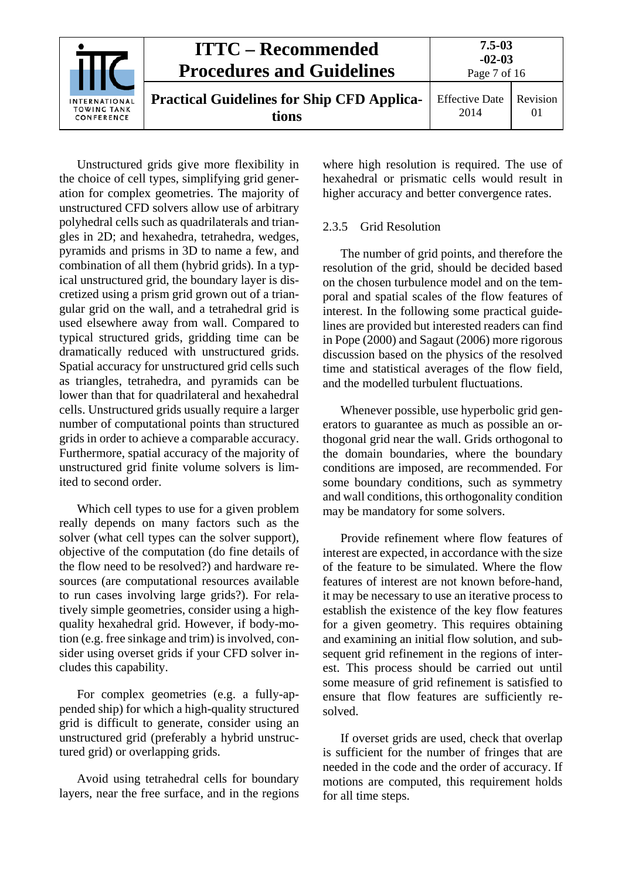|                                                   | <b>ITTC – Recommended</b><br><b>Procedures and Guidelines</b> | $7.5 - 03$<br>$-02-03$<br>Page 7 of 16 |                |
|---------------------------------------------------|---------------------------------------------------------------|----------------------------------------|----------------|
| INTERNATIONAL<br><b>TOWING TANK</b><br>CONFERENCE | <b>Practical Guidelines for Ship CFD Applica-</b><br>tions    | <b>Effective Date</b><br>2014          | Revision<br>01 |

Unstructured grids give more flexibility in the choice of cell types, simplifying grid generation for complex geometries. The majority of unstructured CFD solvers allow use of arbitrary polyhedral cells such as quadrilaterals and triangles in 2D; and hexahedra, tetrahedra, wedges, pyramids and prisms in 3D to name a few, and combination of all them (hybrid grids). In a typical unstructured grid, the boundary layer is discretized using a prism grid grown out of a triangular grid on the wall, and a tetrahedral grid is used elsewhere away from wall. Compared to typical structured grids, gridding time can be dramatically reduced with unstructured grids. Spatial accuracy for unstructured grid cells such as triangles, tetrahedra, and pyramids can be lower than that for quadrilateral and hexahedral cells. Unstructured grids usually require a larger number of computational points than structured grids in order to achieve a comparable accuracy. Furthermore, spatial accuracy of the majority of unstructured grid finite volume solvers is limited to second order.

Which cell types to use for a given problem really depends on many factors such as the solver (what cell types can the solver support), objective of the computation (do fine details of the flow need to be resolved?) and hardware resources (are computational resources available to run cases involving large grids?). For relatively simple geometries, consider using a highquality hexahedral grid. However, if body-motion (e.g. free sinkage and trim) is involved, consider using overset grids if your CFD solver includes this capability.

For complex geometries (e.g. a fully-appended ship) for which a high-quality structured grid is difficult to generate, consider using an unstructured grid (preferably a hybrid unstructured grid) or overlapping grids.

Avoid using tetrahedral cells for boundary layers, near the free surface, and in the regions

where high resolution is required. The use of hexahedral or prismatic cells would result in higher accuracy and better convergence rates.

# <span id="page-6-0"></span>2.3.5 Grid Resolution

The number of grid points, and therefore the resolution of the grid, should be decided based on the chosen turbulence model and on the temporal and spatial scales of the flow features of interest. In the following some practical guidelines are provided but interested readers can find in Pope (2000) and Sagaut (2006) more rigorous discussion based on the physics of the resolved time and statistical averages of the flow field, and the modelled turbulent fluctuations.

Whenever possible, use hyperbolic grid generators to guarantee as much as possible an orthogonal grid near the wall. Grids orthogonal to the domain boundaries, where the boundary conditions are imposed, are recommended. For some boundary conditions, such as symmetry and wall conditions, this orthogonality condition may be mandatory for some solvers.

Provide refinement where flow features of interest are expected, in accordance with the size of the feature to be simulated. Where the flow features of interest are not known before-hand, it may be necessary to use an iterative process to establish the existence of the key flow features for a given geometry. This requires obtaining and examining an initial flow solution, and subsequent grid refinement in the regions of interest. This process should be carried out until some measure of grid refinement is satisfied to ensure that flow features are sufficiently resolved.

If overset grids are used, check that overlap is sufficient for the number of fringes that are needed in the code and the order of accuracy. If motions are computed, this requirement holds for all time steps.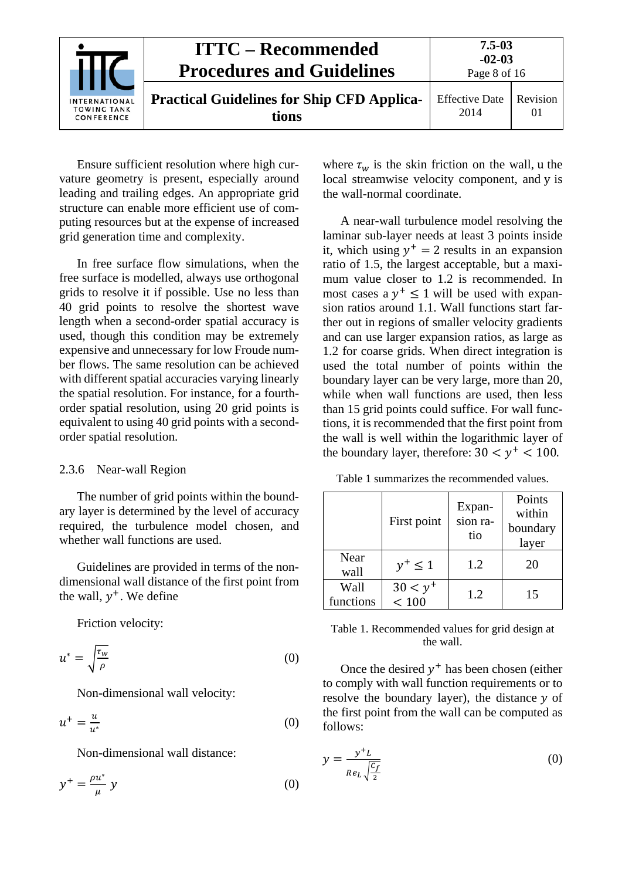|                                                   | <b>ITTC</b> – Recommended<br><b>Procedures and Guidelines</b> | $7.5 - 03$<br>$-02-03$<br>Page 8 of 16 |                |
|---------------------------------------------------|---------------------------------------------------------------|----------------------------------------|----------------|
| INTERNATIONAL<br><b>TOWING TANK</b><br>CONFERENCE | <b>Practical Guidelines for Ship CFD Applica-</b><br>tions    | <b>Effective Date</b><br>2014          | Revision<br>01 |

Ensure sufficient resolution where high curvature geometry is present, especially around leading and trailing edges. An appropriate grid structure can enable more efficient use of computing resources but at the expense of increased grid generation time and complexity.

In free surface flow simulations, when the free surface is modelled, always use orthogonal grids to resolve it if possible. Use no less than 40 grid points to resolve the shortest wave length when a second-order spatial accuracy is used, though this condition may be extremely expensive and unnecessary for low Froude number flows. The same resolution can be achieved with different spatial accuracies varying linearly the spatial resolution. For instance, for a fourthorder spatial resolution, using 20 grid points is equivalent to using 40 grid points with a secondorder spatial resolution.

# <span id="page-7-0"></span>2.3.6 Near-wall Region

The number of grid points within the boundary layer is determined by the level of accuracy required, the turbulence model chosen, and whether wall functions are used.

Guidelines are provided in terms of the nondimensional wall distance of the first point from the wall,  $y^+$ . We define

Friction velocity:

$$
u^* = \sqrt{\frac{\tau_w}{\rho}}\tag{0}
$$

Non-dimensional wall velocity:

$$
u^+ = \frac{u}{u^*} \tag{0}
$$

Non-dimensional wall distance:

$$
y^+ = \frac{\rho u^*}{\mu} y \tag{0}
$$

where  $\tau_w$  is the skin friction on the wall, u the local streamwise velocity component, and y is the wall-normal coordinate.

A near-wall turbulence model resolving the laminar sub-layer needs at least 3 points inside it, which using  $y^+ = 2$  results in an expansion ratio of 1.5, the largest acceptable, but a maximum value closer to 1.2 is recommended. In most cases a  $y^+ \le 1$  will be used with expansion ratios around 1.1. Wall functions start farther out in regions of smaller velocity gradients and can use larger expansion ratios, as large as 1.2 for coarse grids. When direct integration is used the total number of points within the boundary layer can be very large, more than 20, while when wall functions are used, then less than 15 grid points could suffice. For wall functions, it is recommended that the first point from the wall is well within the logarithmic layer of the boundary layer, therefore:  $30 < y^+ < 100$ .

Table 1 summarizes the recommended values.

|                   | First point         | Expan-<br>sion ra-<br>tio | Points<br>within<br>boundary<br>layer |
|-------------------|---------------------|---------------------------|---------------------------------------|
| Near<br>wall      | $y^+ \leq 1$        | 1.2                       | 20                                    |
| Wall<br>functions | $30 < y^+$<br>< 100 | 1.2                       | 15                                    |

Table 1. Recommended values for grid design at the wall.

Once the desired  $y^+$  has been chosen (either to comply with wall function requirements or to resolve the boundary layer), the distance  $y$  of the first point from the wall can be computed as follows:

$$
y = \frac{y^+ L}{Re_L \sqrt{\frac{c_f}{2}}}
$$
 (0)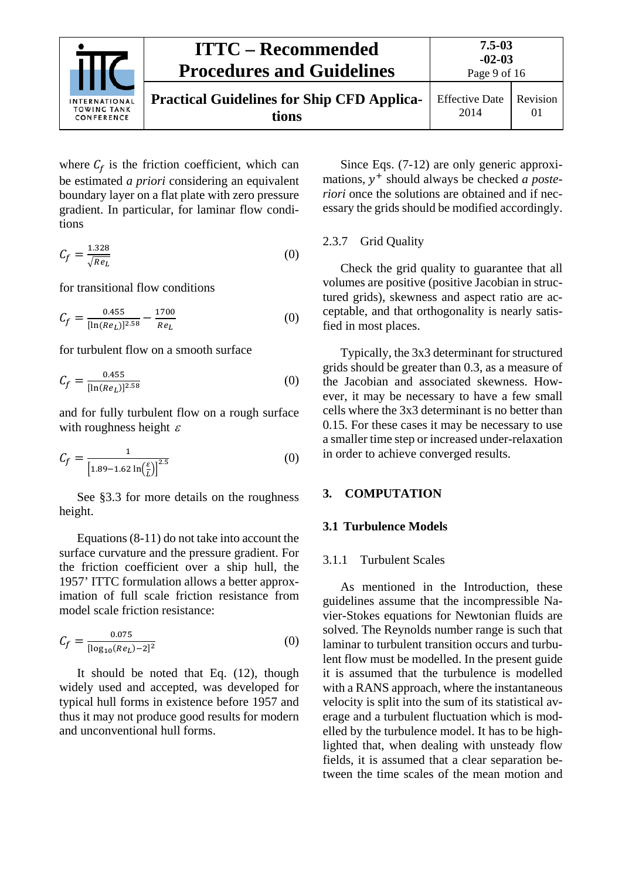

where  $C_f$  is the friction coefficient, which can be estimated *a priori* considering an equivalent boundary layer on a flat plate with zero pressure gradient. In particular, for laminar flow conditions

$$
C_f = \frac{1.328}{\sqrt{Re_L}}\tag{0}
$$

for transitional flow conditions

$$
C_f = \frac{0.455}{[\ln(Re_L)]^{2.58}} - \frac{1700}{Re_L}
$$
 (0)

for turbulent flow on a smooth surface

$$
C_f = \frac{0.455}{[\ln(Re_L)]^{2.58}}
$$
 (0)

and for fully turbulent flow on a rough surface with roughness height  $\varepsilon$ 

$$
C_f = \frac{1}{\left[1.89 - 1.62 \ln\left(\frac{\varepsilon}{L}\right)\right]^{2.5}}\tag{0}
$$

See §3.3 for more details on the roughness height.

Equations (8-11) do not take into account the surface curvature and the pressure gradient. For the friction coefficient over a ship hull, the 1957' ITTC formulation allows a better approximation of full scale friction resistance from model scale friction resistance:

$$
C_f = \frac{0.075}{[\log_{10}(Re_L) - 2]^2} \tag{0}
$$

It should be noted that Eq. (12), though widely used and accepted, was developed for typical hull forms in existence before 1957 and thus it may not produce good results for modern and unconventional hull forms.

Since Eqs. (7-12) are only generic approximations,  $y^+$  should always be checked *a posteriori* once the solutions are obtained and if necessary the grids should be modified accordingly.

#### <span id="page-8-0"></span>2.3.7 Grid Quality

Check the grid quality to guarantee that all volumes are positive (positive Jacobian in structured grids), skewness and aspect ratio are acceptable, and that orthogonality is nearly satisfied in most places.

Typically, the 3x3 determinant for structured grids should be greater than 0.3, as a measure of the Jacobian and associated skewness. However, it may be necessary to have a few small cells where the 3x3 determinant is no better than 0.15. For these cases it may be necessary to use a smaller time step or increased under-relaxation in order to achieve converged results.

#### <span id="page-8-2"></span><span id="page-8-1"></span>**3. COMPUTATION**

#### <span id="page-8-3"></span>**3.1 Turbulence Models**

#### 3.1.1 Turbulent Scales

As mentioned in the Introduction, these guidelines assume that the incompressible Navier-Stokes equations for Newtonian fluids are solved. The Reynolds number range is such that laminar to turbulent transition occurs and turbulent flow must be modelled. In the present guide it is assumed that the turbulence is modelled with a RANS approach, where the instantaneous velocity is split into the sum of its statistical average and a turbulent fluctuation which is modelled by the turbulence model. It has to be highlighted that, when dealing with unsteady flow fields, it is assumed that a clear separation between the time scales of the mean motion and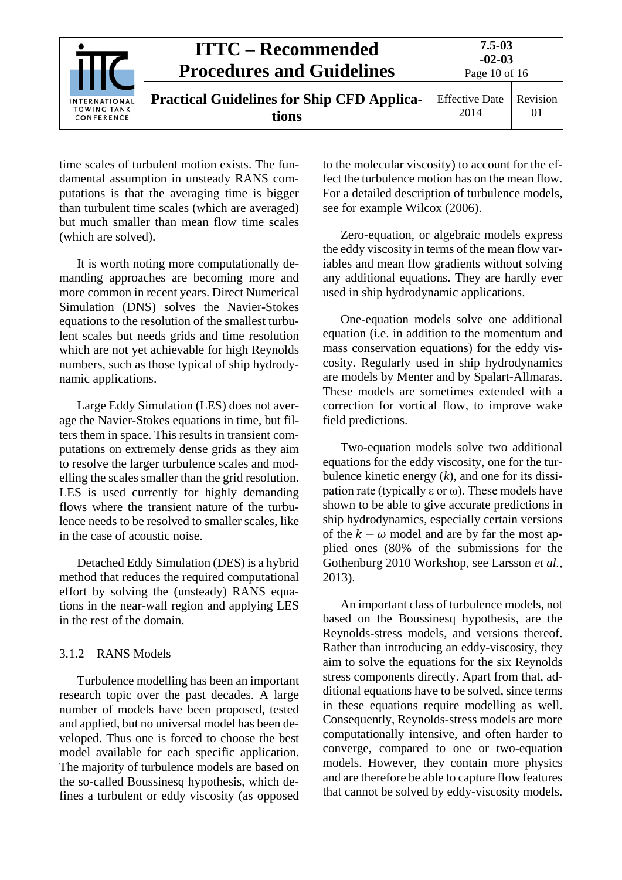|                                                          | <b>ITTC – Recommended</b><br><b>Procedures and Guidelines</b> | $7.5 - 03$<br>$-02-03$<br>Page 10 of 16 |                |
|----------------------------------------------------------|---------------------------------------------------------------|-----------------------------------------|----------------|
| <b>INTERNATIONAL</b><br><b>TOWING TANK</b><br>CONFERENCE | <b>Practical Guidelines for Ship CFD Applica-</b><br>tions    | <b>Effective Date</b><br>2014           | Revision<br>01 |

time scales of turbulent motion exists. The fundamental assumption in unsteady RANS computations is that the averaging time is bigger than turbulent time scales (which are averaged) but much smaller than mean flow time scales (which are solved).

It is worth noting more computationally demanding approaches are becoming more and more common in recent years. Direct Numerical Simulation (DNS) solves the Navier-Stokes equations to the resolution of the smallest turbulent scales but needs grids and time resolution which are not yet achievable for high Reynolds numbers, such as those typical of ship hydrodynamic applications.

Large Eddy Simulation (LES) does not average the Navier-Stokes equations in time, but filters them in space. This results in transient computations on extremely dense grids as they aim to resolve the larger turbulence scales and modelling the scales smaller than the grid resolution. LES is used currently for highly demanding flows where the transient nature of the turbulence needs to be resolved to smaller scales, like in the case of acoustic noise.

Detached Eddy Simulation (DES) is a hybrid method that reduces the required computational effort by solving the (unsteady) RANS equations in the near-wall region and applying LES in the rest of the domain.

# <span id="page-9-0"></span>3.1.2 RANS Models

Turbulence modelling has been an important research topic over the past decades. A large number of models have been proposed, tested and applied, but no universal model has been developed. Thus one is forced to choose the best model available for each specific application. The majority of turbulence models are based on the so-called Boussinesq hypothesis, which defines a turbulent or eddy viscosity (as opposed to the molecular viscosity) to account for the effect the turbulence motion has on the mean flow. For a detailed description of turbulence models, see for example Wilcox (2006).

Zero-equation, or algebraic models express the eddy viscosity in terms of the mean flow variables and mean flow gradients without solving any additional equations. They are hardly ever used in ship hydrodynamic applications.

One-equation models solve one additional equation (i.e. in addition to the momentum and mass conservation equations) for the eddy viscosity. Regularly used in ship hydrodynamics are models by Menter and by Spalart-Allmaras. These models are sometimes extended with a correction for vortical flow, to improve wake field predictions.

Two-equation models solve two additional equations for the eddy viscosity, one for the turbulence kinetic energy (*k*), and one for its dissipation rate (typically  $\varepsilon$  or  $\omega$ ). These models have shown to be able to give accurate predictions in ship hydrodynamics, especially certain versions of the  $k - \omega$  model and are by far the most applied ones (80% of the submissions for the Gothenburg 2010 Workshop, see Larsson *et al.*, 2013).

An important class of turbulence models, not based on the Boussinesq hypothesis, are the Reynolds-stress models, and versions thereof. Rather than introducing an eddy-viscosity, they aim to solve the equations for the six Reynolds stress components directly. Apart from that, additional equations have to be solved, since terms in these equations require modelling as well. Consequently, Reynolds-stress models are more computationally intensive, and often harder to converge, compared to one or two-equation models. However, they contain more physics and are therefore be able to capture flow features that cannot be solved by eddy-viscosity models.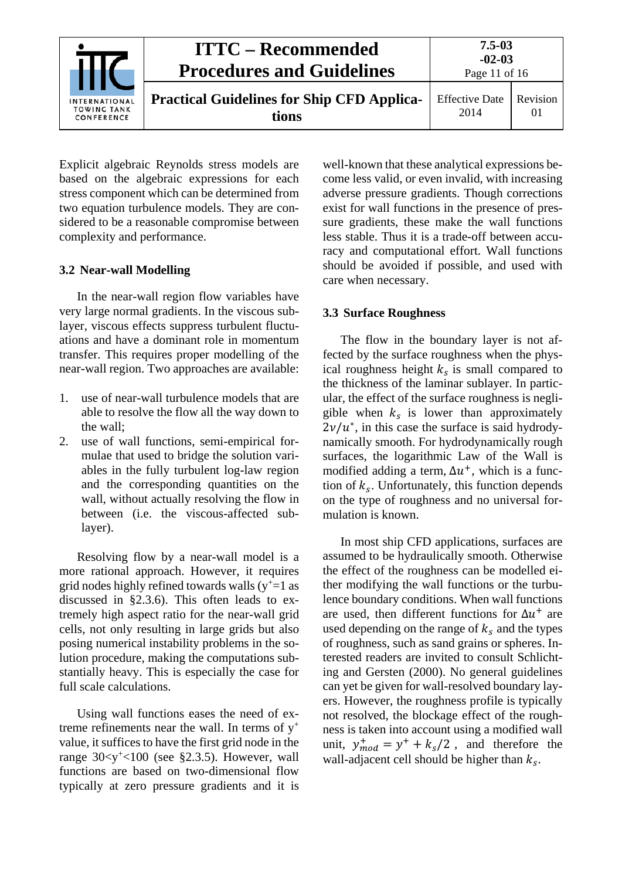|                                                          | <b>ITTC – Recommended</b><br><b>Procedures and Guidelines</b> | $7.5 - 03$<br>$-02-03$<br>Page 11 of 16 |                      |
|----------------------------------------------------------|---------------------------------------------------------------|-----------------------------------------|----------------------|
| <b>INTERNATIONAL</b><br><b>TOWING TANK</b><br>CONFERENCE | <b>Practical Guidelines for Ship CFD Applica-</b><br>tions    | <b>Effective Date</b><br>2014           | Revision<br>$\Omega$ |

Explicit algebraic Reynolds stress models are based on the algebraic expressions for each stress component which can be determined from two equation turbulence models. They are considered to be a reasonable compromise between complexity and performance.

### <span id="page-10-0"></span>**3.2 Near-wall Modelling**

In the near-wall region flow variables have very large normal gradients. In the viscous sublayer, viscous effects suppress turbulent fluctuations and have a dominant role in momentum transfer. This requires proper modelling of the near-wall region. Two approaches are available:

- 1. use of near-wall turbulence models that are able to resolve the flow all the way down to the wall;
- 2. use of wall functions, semi-empirical formulae that used to bridge the solution variables in the fully turbulent log-law region and the corresponding quantities on the wall, without actually resolving the flow in between (i.e. the viscous-affected sublayer).

Resolving flow by a near-wall model is a more rational approach. However, it requires grid nodes highly refined towards walls  $(y^{\dagger}=1$  as discussed in §2.3.6). This often leads to extremely high aspect ratio for the near-wall grid cells, not only resulting in large grids but also posing numerical instability problems in the solution procedure, making the computations substantially heavy. This is especially the case for full scale calculations.

Using wall functions eases the need of extreme refinements near the wall. In terms of  $y^+$ value, it suffices to have the first grid node in the range  $30 < y' < 100$  (see §2.3.5). However, wall functions are based on two-dimensional flow typically at zero pressure gradients and it is

well-known that these analytical expressions become less valid, or even invalid, with increasing adverse pressure gradients. Though corrections exist for wall functions in the presence of pressure gradients, these make the wall functions less stable. Thus it is a trade-off between accuracy and computational effort. Wall functions should be avoided if possible, and used with care when necessary.

### <span id="page-10-1"></span>**3.3 Surface Roughness**

The flow in the boundary layer is not affected by the surface roughness when the physical roughness height  $k<sub>s</sub>$  is small compared to the thickness of the laminar sublayer. In particular, the effect of the surface roughness is negligible when  $k<sub>s</sub>$  is lower than approximately  $2\nu/u^*$ , in this case the surface is said hydrodynamically smooth. For hydrodynamically rough surfaces, the logarithmic Law of the Wall is modified adding a term,  $\Delta u^+$ , which is a function of  $k_s$ . Unfortunately, this function depends on the type of roughness and no universal formulation is known.

In most ship CFD applications, surfaces are assumed to be hydraulically smooth. Otherwise the effect of the roughness can be modelled either modifying the wall functions or the turbulence boundary conditions. When wall functions are used, then different functions for  $\Delta u^+$  are used depending on the range of  $k_s$  and the types of roughness, such as sand grains or spheres. Interested readers are invited to consult Schlichting and Gersten (2000). No general guidelines can yet be given for wall-resolved boundary layers. However, the roughness profile is typically not resolved, the blockage effect of the roughness is taken into account using a modified wall unit,  $y_{mod}^+ = y^+ + k_s/2$ , and therefore the wall-adjacent cell should be higher than  $k_s$ .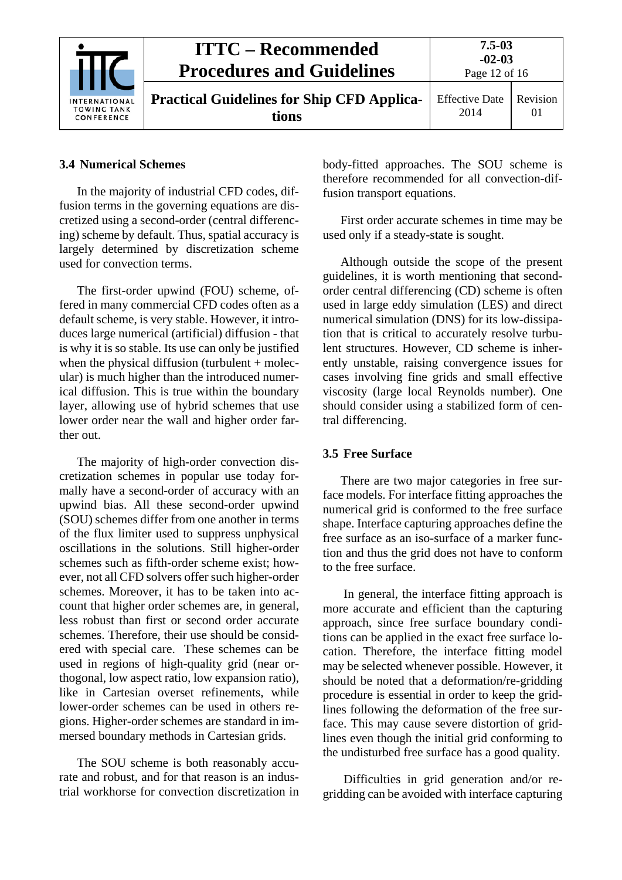|                                                          | <b>ITTC – Recommended</b><br><b>Procedures and Guidelines</b> | $7.5 - 03$<br>$-02-03$<br>Page 12 of 16 |                      |
|----------------------------------------------------------|---------------------------------------------------------------|-----------------------------------------|----------------------|
| <b>INTERNATIONAL</b><br><b>TOWING TANK</b><br>CONFERENCE | <b>Practical Guidelines for Ship CFD Applica-</b><br>tions    | <b>Effective Date</b><br>2014           | Revision<br>$\Omega$ |

## <span id="page-11-0"></span>**3.4 Numerical Schemes**

In the majority of industrial CFD codes, diffusion terms in the governing equations are discretized using a second-order (central differencing) scheme by default. Thus, spatial accuracy is largely determined by discretization scheme used for convection terms.

The first-order upwind (FOU) scheme, offered in many commercial CFD codes often as a default scheme, is very stable. However, it introduces large numerical (artificial) diffusion - that is why it is so stable. Its use can only be justified when the physical diffusion (turbulent  $+$  molecular) is much higher than the introduced numerical diffusion. This is true within the boundary layer, allowing use of hybrid schemes that use lower order near the wall and higher order farther out.

The majority of high-order convection discretization schemes in popular use today formally have a second-order of accuracy with an upwind bias. All these second-order upwind (SOU) schemes differ from one another in terms of the flux limiter used to suppress unphysical oscillations in the solutions. Still higher-order schemes such as fifth-order scheme exist; however, not all CFD solvers offer such higher-order schemes. Moreover, it has to be taken into account that higher order schemes are, in general, less robust than first or second order accurate schemes. Therefore, their use should be considered with special care. These schemes can be used in regions of high-quality grid (near orthogonal, low aspect ratio, low expansion ratio), like in Cartesian overset refinements, while lower-order schemes can be used in others regions. Higher-order schemes are standard in immersed boundary methods in Cartesian grids.

The SOU scheme is both reasonably accurate and robust, and for that reason is an industrial workhorse for convection discretization in body-fitted approaches. The SOU scheme is therefore recommended for all convection-diffusion transport equations.

First order accurate schemes in time may be used only if a steady-state is sought.

Although outside the scope of the present guidelines, it is worth mentioning that secondorder central differencing (CD) scheme is often used in large eddy simulation (LES) and direct numerical simulation (DNS) for its low-dissipation that is critical to accurately resolve turbulent structures. However, CD scheme is inherently unstable, raising convergence issues for cases involving fine grids and small effective viscosity (large local Reynolds number). One should consider using a stabilized form of central differencing.

## <span id="page-11-1"></span>**3.5 Free Surface**

There are two major categories in free surface models. For interface fitting approaches the numerical grid is conformed to the free surface shape. Interface capturing approaches define the free surface as an iso-surface of a marker function and thus the grid does not have to conform to the free surface.

In general, the interface fitting approach is more accurate and efficient than the capturing approach, since free surface boundary conditions can be applied in the exact free surface location. Therefore, the interface fitting model may be selected whenever possible. However, it should be noted that a deformation/re-gridding procedure is essential in order to keep the gridlines following the deformation of the free surface. This may cause severe distortion of gridlines even though the initial grid conforming to the undisturbed free surface has a good quality.

Difficulties in grid generation and/or regridding can be avoided with interface capturing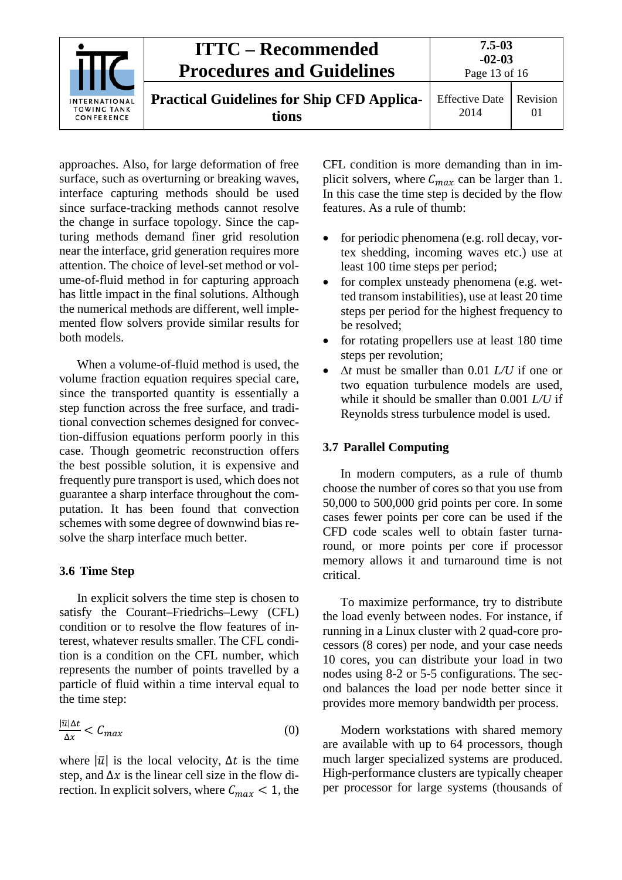| INTERNATIONAL<br><b>TOWING TANK</b><br>CONFERENCE | <b>ITTC – Recommended</b><br><b>Procedures and Guidelines</b> | $7.5 - 03$<br>$-02-03$<br>Page 13 of 16 |                |
|---------------------------------------------------|---------------------------------------------------------------|-----------------------------------------|----------------|
|                                                   | <b>Practical Guidelines for Ship CFD Applica-</b><br>tions    | <b>Effective Date</b><br>2014           | Revision<br>01 |

approaches. Also, for large deformation of free surface, such as overturning or breaking waves, interface capturing methods should be used since surface-tracking methods cannot resolve the change in surface topology. Since the capturing methods demand finer grid resolution near the interface, grid generation requires more attention. The choice of level-set method or volume-of-fluid method in for capturing approach has little impact in the final solutions. Although the numerical methods are different, well implemented flow solvers provide similar results for both models.

When a volume-of-fluid method is used, the volume fraction equation requires special care, since the transported quantity is essentially a step function across the free surface, and traditional convection schemes designed for convection-diffusion equations perform poorly in this case. Though geometric reconstruction offers the best possible solution, it is expensive and frequently pure transport is used, which does not guarantee a sharp interface throughout the computation. It has been found that convection schemes with some degree of downwind bias resolve the sharp interface much better.

# <span id="page-12-0"></span>**3.6 Time Step**

In explicit solvers the time step is chosen to satisfy the Courant–Friedrichs–Lewy (CFL) condition or to resolve the flow features of interest, whatever results smaller. The CFL condition is a condition on the CFL number, which represents the number of points travelled by a particle of fluid within a time interval equal to the time step:

$$
\frac{|\overline{u}|\Delta t}{\Delta x} < C_{max} \tag{0}
$$

where  $|\bar{u}|$  is the local velocity,  $\Delta t$  is the time step, and  $\Delta x$  is the linear cell size in the flow direction. In explicit solvers, where  $C_{max} < 1$ , the CFL condition is more demanding than in implicit solvers, where  $C_{max}$  can be larger than 1. In this case the time step is decided by the flow features. As a rule of thumb:

- for periodic phenomena (e.g. roll decay, vortex shedding, incoming waves etc.) use at least 100 time steps per period;
- for complex unsteady phenomena (e.g. wetted transom instabilities), use at least 20 time steps per period for the highest frequency to be resolved;
- for rotating propellers use at least 180 time steps per revolution;
- ∆*t* must be smaller than 0.01 *L/U* if one or two equation turbulence models are used, while it should be smaller than 0.001 *L/U* if Reynolds stress turbulence model is used.

#### <span id="page-12-1"></span>**3.7 Parallel Computing**

In modern computers, as a rule of thumb choose the number of cores so that you use from 50,000 to 500,000 grid points per core. In some cases fewer points per core can be used if the CFD code scales well to obtain faster turnaround, or more points per core if processor memory allows it and turnaround time is not critical.

To maximize performance, try to distribute the load evenly between nodes. For instance, if running in a Linux cluster with 2 quad-core processors (8 cores) per node, and your case needs 10 cores, you can distribute your load in two nodes using 8-2 or 5-5 configurations. The second balances the load per node better since it provides more memory bandwidth per process.

Modern workstations with shared memory are available with up to 64 processors, though much larger specialized systems are produced. High-performance clusters are typically cheaper per processor for large systems (thousands of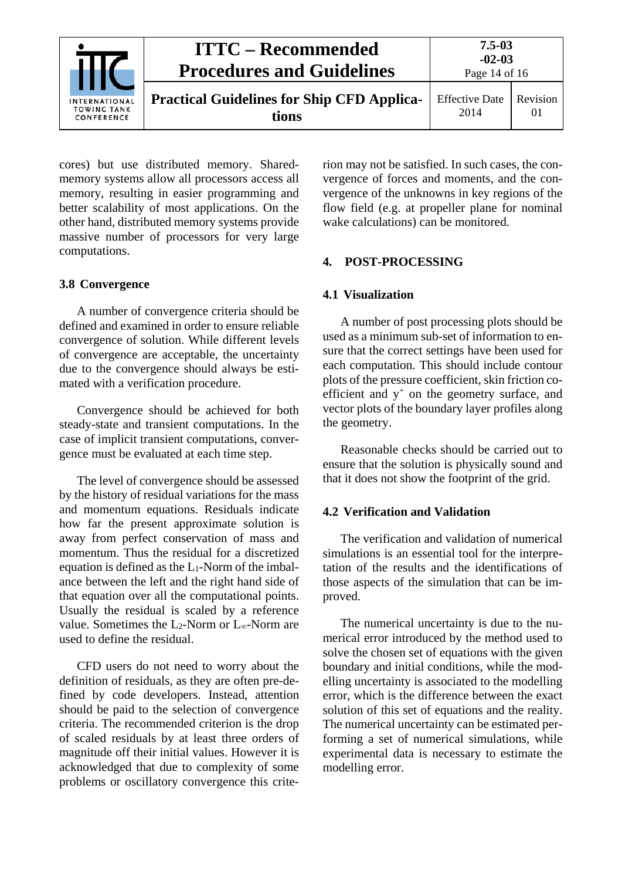| INTERNATIONAL<br><b>TOWING TANK</b><br>CONFERENCE | <b>ITTC – Recommended</b><br><b>Procedures and Guidelines</b> | $7.5 - 0.3$<br>$-02-03$<br>Page 14 of 16 |                |
|---------------------------------------------------|---------------------------------------------------------------|------------------------------------------|----------------|
|                                                   | <b>Practical Guidelines for Ship CFD Applica-</b><br>tions    | <b>Effective Date</b><br>2014            | Revision<br>01 |

cores) but use distributed memory. Sharedmemory systems allow all processors access all memory, resulting in easier programming and better scalability of most applications. On the other hand, distributed memory systems provide massive number of processors for very large computations.

# <span id="page-13-0"></span>**3.8 Convergence**

A number of convergence criteria should be defined and examined in order to ensure reliable convergence of solution. While different levels of convergence are acceptable, the uncertainty due to the convergence should always be estimated with a verification procedure.

Convergence should be achieved for both steady-state and transient computations. In the case of implicit transient computations, convergence must be evaluated at each time step.

The level of convergence should be assessed by the history of residual variations for the mass and momentum equations. Residuals indicate how far the present approximate solution is away from perfect conservation of mass and momentum. Thus the residual for a discretized equation is defined as the  $L_1$ -Norm of the imbalance between the left and the right hand side of that equation over all the computational points. Usually the residual is scaled by a reference value. Sometimes the L<sub>2</sub>-Norm or L<sub>∞</sub>-Norm are used to define the residual.

CFD users do not need to worry about the definition of residuals, as they are often pre-defined by code developers. Instead, attention should be paid to the selection of convergence criteria. The recommended criterion is the drop of scaled residuals by at least three orders of magnitude off their initial values. However it is acknowledged that due to complexity of some problems or oscillatory convergence this criterion may not be satisfied. In such cases, the convergence of forces and moments, and the convergence of the unknowns in key regions of the flow field (e.g. at propeller plane for nominal wake calculations) can be monitored.

# <span id="page-13-2"></span><span id="page-13-1"></span>**4. POST-PROCESSING**

### **4.1 Visualization**

A number of post processing plots should be used as a minimum sub-set of information to ensure that the correct settings have been used for each computation. This should include contour plots of the pressure coefficient, skin friction coefficient and  $y^+$  on the geometry surface, and vector plots of the boundary layer profiles along the geometry.

Reasonable checks should be carried out to ensure that the solution is physically sound and that it does not show the footprint of the grid.

### <span id="page-13-3"></span>**4.2 Verification and Validation**

The verification and validation of numerical simulations is an essential tool for the interpretation of the results and the identifications of those aspects of the simulation that can be improved.

The numerical uncertainty is due to the numerical error introduced by the method used to solve the chosen set of equations with the given boundary and initial conditions, while the modelling uncertainty is associated to the modelling error, which is the difference between the exact solution of this set of equations and the reality. The numerical uncertainty can be estimated performing a set of numerical simulations, while experimental data is necessary to estimate the modelling error.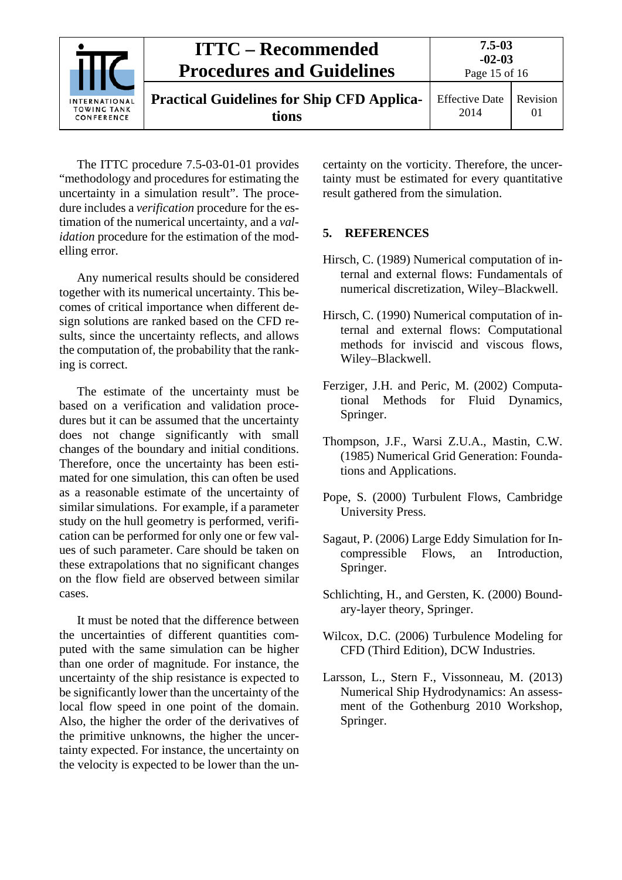

The ITTC procedure 7.5-03-01-01 provides "methodology and procedures for estimating the uncertainty in a simulation result". The procedure includes a *verification* procedure for the estimation of the numerical uncertainty, and a *validation* procedure for the estimation of the modelling error.

Any numerical results should be considered together with its numerical uncertainty. This becomes of critical importance when different design solutions are ranked based on the CFD results, since the uncertainty reflects, and allows the computation of, the probability that the ranking is correct.

The estimate of the uncertainty must be based on a verification and validation procedures but it can be assumed that the uncertainty does not change significantly with small changes of the boundary and initial conditions. Therefore, once the uncertainty has been estimated for one simulation, this can often be used as a reasonable estimate of the uncertainty of similar simulations. For example, if a parameter study on the hull geometry is performed, verification can be performed for only one or few values of such parameter. Care should be taken on these extrapolations that no significant changes on the flow field are observed between similar cases.

It must be noted that the difference between the uncertainties of different quantities computed with the same simulation can be higher than one order of magnitude. For instance, the uncertainty of the ship resistance is expected to be significantly lower than the uncertainty of the local flow speed in one point of the domain. Also, the higher the order of the derivatives of the primitive unknowns, the higher the uncertainty expected. For instance, the uncertainty on the velocity is expected to be lower than the uncertainty on the vorticity. Therefore, the uncertainty must be estimated for every quantitative result gathered from the simulation.

# <span id="page-14-0"></span>**5. REFERENCES**

- Hirsch, C. (1989) Numerical computation of internal and external flows: Fundamentals of numerical discretization, Wiley–Blackwell.
- Hirsch, C. (1990) Numerical computation of internal and external flows: Computational methods for inviscid and viscous flows, Wiley–Blackwell.
- Ferziger, J.H. and Peric, M. (2002) Computational Methods for Fluid Dynamics, Springer.
- Thompson, J.F., Warsi Z.U.A., Mastin, C.W. (1985) Numerical Grid Generation: Foundations and Applications.
- Pope, S. (2000) Turbulent Flows, Cambridge University Press.
- Sagaut, P. (2006) Large Eddy Simulation for Incompressible Flows, an Introduction, Springer.
- Schlichting, H., and Gersten, K. (2000) Boundary-layer theory, Springer.
- Wilcox, D.C. (2006) Turbulence Modeling for CFD (Third Edition), DCW Industries.
- Larsson, L., Stern F., Vissonneau, M. (2013) Numerical Ship Hydrodynamics: An assessment of the Gothenburg 2010 Workshop, Springer.